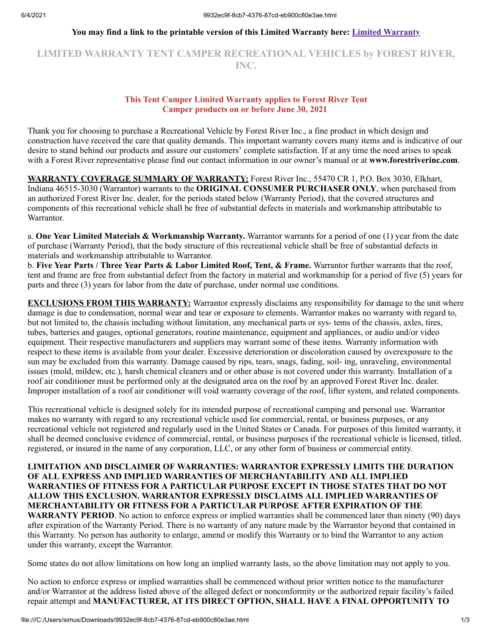#### **You may find a link to the printable version of this Limited Warranty here: [Limited Warranty](https://forestriverinc.com/Owners/Warranty-Information)**

# **LIMITED WARRANTY TENT CAMPER RECREATIONAL VEHICLES by FOREST RIVER, INC.**

#### **This Tent Camper Limited Warranty applies to Forest River Tent Camper products on or before June 30, 2021**

Thank you for choosing to purchase a Recreational Vehicle by Forest River Inc., a fine product in which design and construction have received the care that quality demands. This important warranty covers many items and is indicative of our desire to stand behind our products and assure our customers' complete satisfaction. If at any time the need arises to speak with a Forest River representative please find our contact information in our owner's manual or at **www.forestriverinc.com**.

**WARRANTY COVERAGE SUMMARY OF WARRANTY:** Forest River Inc., 55470 CR 1, P.O. Box 3030, Elkhart, Indiana 46515-3030 (Warrantor) warrants to the **ORIGINAL CONSUMER PURCHASER ONLY**, when purchased from an authorized Forest River Inc. dealer, for the periods stated below (Warranty Period), that the covered structures and components of this recreational vehicle shall be free of substantial defects in materials and workmanship attributable to Warrantor.

a. **One Year Limited Materials & Workmanship Warranty.** Warrantor warrants for a period of one (1) year from the date of purchase (Warranty Period), that the body structure of this recreational vehicle shall be free of substantial defects in materials and workmanship attributable to Warrantor.

b. **Five Year Parts / Three Year Parts & Labor Limited Roof, Tent, & Frame.** Warrantor further warrants that the roof, tent and frame are free from substantial defect from the factory in material and workmanship for a period of five (5) years for parts and three (3) years for labor from the date of purchase, under normal use conditions.

**EXCLUSIONS FROM THIS WARRANTY:** Warrantor expressly disclaims any responsibility for damage to the unit where damage is due to condensation, normal wear and tear or exposure to elements. Warrantor makes no warranty with regard to, but not limited to, the chassis including without limitation, any mechanical parts or sys- tems of the chassis, axles, tires, tubes, batteries and gauges, optional generators, routine maintenance, equipment and appliances, or audio and/or video equipment. Their respective manufacturers and suppliers may warrant some of these items. Warranty information with respect to these items is available from your dealer. Excessive deterioration or discoloration caused by overexposure to the sun may be excluded from this warranty. Damage caused by rips, tears, snags, fading, soil- ing, unraveling, environmental issues (mold, mildew, etc.), harsh chemical cleaners and or other abuse is not covered under this warranty. Installation of a roof air conditioner must be performed only at the designated area on the roof by an approved Forest River Inc. dealer. Improper installation of a roof air conditioner will void warranty coverage of the roof, lifter system, and related components.

This recreational vehicle is designed solely for its intended purpose of recreational camping and personal use. Warrantor makes no warranty with regard to any recreational vehicle used for commercial, rental, or business purposes, or any recreational vehicle not registered and regularly used in the United States or Canada. For purposes of this limited warranty, it shall be deemed conclusive evidence of commercial, rental, or business purposes if the recreational vehicle is licensed, titled, registered, or insured in the name of any corporation, LLC, or any other form of business or commercial entity.

#### **LIMITATION AND DISCLAIMER OF WARRANTIES: WARRANTOR EXPRESSLY LIMITS THE DURATION OF ALL EXPRESS AND IMPLIED WARRANTIES OF MERCHANTABILITY AND ALL IMPLIED WARRANTIES OF FITNESS FOR A PARTICULAR PURPOSE EXCEPT IN THOSE STATES THAT DO NOT ALLOW THIS EXCLUSION. WARRANTOR EXPRESSLY DISCLAIMS ALL IMPLIED WARRANTIES OF MERCHANTABILITY OR FITNESS FOR A PARTICULAR PURPOSE AFTER EXPIRATION OF THE**

**WARRANTY PERIOD**. No action to enforce express or implied warranties shall be commenced later than ninety (90) days after expiration of the Warranty Period. There is no warranty of any nature made by the Warrantor beyond that contained in this Warranty. No person has authority to enlarge, amend or modify this Warranty or to bind the Warrantor to any action under this warranty, except the Warrantor.

Some states do not allow limitations on how long an implied warranty lasts, so the above limitation may not apply to you.

No action to enforce express or implied warranties shall be commenced without prior written notice to the manufacturer and/or Warrantor at the address listed above of the alleged defect or nonconformity or the authorized repair facility's failed repair attempt and **MANUFACTURER, AT ITS DIRECT OPTION, SHALL HAVE A FINAL OPPORTUNITY TO**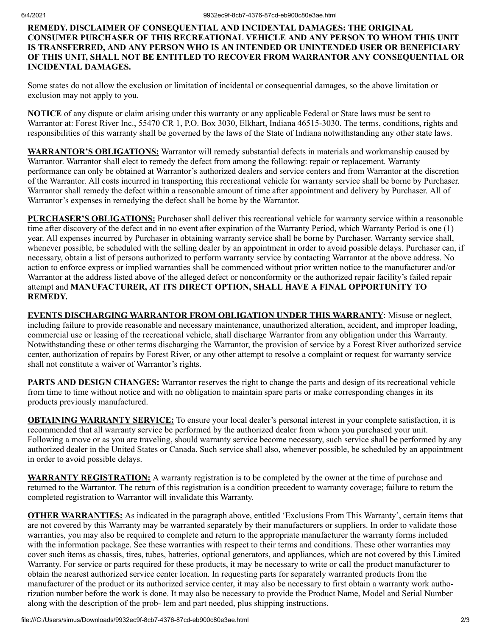### **REMEDY. DISCLAIMER OF CONSEQUENTIAL AND INCIDENTAL DAMAGES: THE ORIGINAL CONSUMER PURCHASER OF THIS RECREATIONAL VEHICLE AND ANY PERSON TO WHOM THIS UNIT IS TRANSFERRED, AND ANY PERSON WHO IS AN INTENDED OR UNINTENDED USER OR BENEFICIARY OF THIS UNIT, SHALL NOT BE ENTITLED TO RECOVER FROM WARRANTOR ANY CONSEQUENTIAL OR INCIDENTAL DAMAGES.**

Some states do not allow the exclusion or limitation of incidental or consequential damages, so the above limitation or exclusion may not apply to you.

**NOTICE** of any dispute or claim arising under this warranty or any applicable Federal or State laws must be sent to Warrantor at: Forest River Inc., 55470 CR 1, P.O. Box 3030, Elkhart, Indiana 46515-3030. The terms, conditions, rights and responsibilities of this warranty shall be governed by the laws of the State of Indiana notwithstanding any other state laws.

**WARRANTOR'S OBLIGATIONS:** Warrantor will remedy substantial defects in materials and workmanship caused by Warrantor. Warrantor shall elect to remedy the defect from among the following: repair or replacement. Warranty performance can only be obtained at Warrantor's authorized dealers and service centers and from Warrantor at the discretion of the Warrantor. All costs incurred in transporting this recreational vehicle for warranty service shall be borne by Purchaser. Warrantor shall remedy the defect within a reasonable amount of time after appointment and delivery by Purchaser. All of Warrantor's expenses in remedying the defect shall be borne by the Warrantor.

**PURCHASER'S OBLIGATIONS:** Purchaser shall deliver this recreational vehicle for warranty service within a reasonable time after discovery of the defect and in no event after expiration of the Warranty Period, which Warranty Period is one (1) year. All expenses incurred by Purchaser in obtaining warranty service shall be borne by Purchaser. Warranty service shall, whenever possible, be scheduled with the selling dealer by an appointment in order to avoid possible delays. Purchaser can, if necessary, obtain a list of persons authorized to perform warranty service by contacting Warrantor at the above address. No action to enforce express or implied warranties shall be commenced without prior written notice to the manufacturer and/or Warrantor at the address listed above of the alleged defect or nonconformity or the authorized repair facility's failed repair attempt and **MANUFACTURER, AT ITS DIRECT OPTION, SHALL HAVE A FINAL OPPORTUNITY TO REMEDY.** 

**EVENTS DISCHARGING WARRANTOR FROM OBLIGATION UNDER THIS WARRANTY**: Misuse or neglect, including failure to provide reasonable and necessary maintenance, unauthorized alteration, accident, and improper loading, commercial use or leasing of the recreational vehicle, shall discharge Warrantor from any obligation under this Warranty. Notwithstanding these or other terms discharging the Warrantor, the provision of service by a Forest River authorized service center, authorization of repairs by Forest River, or any other attempt to resolve a complaint or request for warranty service shall not constitute a waiver of Warrantor's rights.

**PARTS AND DESIGN CHANGES:** Warrantor reserves the right to change the parts and design of its recreational vehicle from time to time without notice and with no obligation to maintain spare parts or make corresponding changes in its products previously manufactured.

**OBTAINING WARRANTY SERVICE:** To ensure your local dealer's personal interest in your complete satisfaction, it is recommended that all warranty service be performed by the authorized dealer from whom you purchased your unit. Following a move or as you are traveling, should warranty service become necessary, such service shall be performed by any authorized dealer in the United States or Canada. Such service shall also, whenever possible, be scheduled by an appointment in order to avoid possible delays.

**WARRANTY REGISTRATION:** A warranty registration is to be completed by the owner at the time of purchase and returned to the Warrantor. The return of this registration is a condition precedent to warranty coverage; failure to return the completed registration to Warrantor will invalidate this Warranty.

**OTHER WARRANTIES:** As indicated in the paragraph above, entitled 'Exclusions From This Warranty', certain items that are not covered by this Warranty may be warranted separately by their manufacturers or suppliers. In order to validate those warranties, you may also be required to complete and return to the appropriate manufacturer the warranty forms included with the information package. See these warranties with respect to their terms and conditions. These other warranties may cover such items as chassis, tires, tubes, batteries, optional generators, and appliances, which are not covered by this Limited Warranty. For service or parts required for these products, it may be necessary to write or call the product manufacturer to obtain the nearest authorized service center location. In requesting parts for separately warranted products from the manufacturer of the product or its authorized service center, it may also be necessary to first obtain a warranty work authorization number before the work is done. It may also be necessary to provide the Product Name, Model and Serial Number along with the description of the prob- lem and part needed, plus shipping instructions.